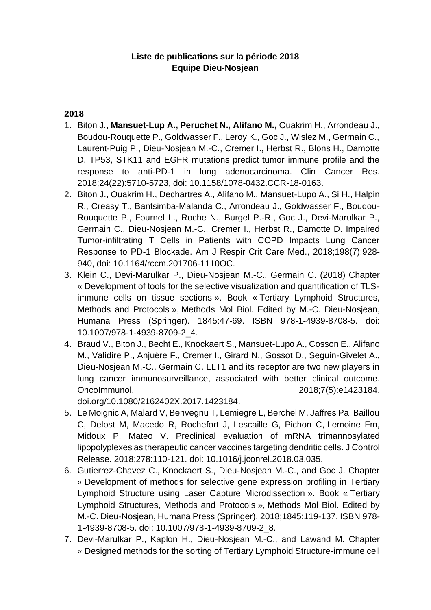## **Liste de publications sur la période 2018 Equipe Dieu-Nosjean**

## **2018**

- 1. Biton J., **Mansuet-Lup A., Peruchet N., Alifano M.,** Ouakrim H., Arrondeau J., Boudou-Rouquette P., Goldwasser F., Leroy K., Goc J., Wislez M., Germain C., Laurent-Puig P., Dieu-Nosjean M.-C., Cremer I., Herbst R., Blons H., Damotte D. TP53, STK11 and EGFR mutations predict tumor immune profile and the response to anti-PD-1 in lung adenocarcinoma. Clin Cancer Res. 2018;24(22):5710-5723, doi: 10.1158/1078-0432.CCR-18-0163.
- 2. Biton J., Ouakrim H., Dechartres A., Alifano M., Mansuet-Lupo A., Si H., Halpin R., Creasy T., Bantsimba-Malanda C., Arrondeau J., Goldwasser F., Boudou-Rouquette P., Fournel L., Roche N., Burgel P.-R., Goc J., Devi-Marulkar P., Germain C., Dieu-Nosjean M.-C., Cremer I., Herbst R., Damotte D. [Impaired](https://www.ncbi.nlm.nih.gov/pubmed/29518341)  [Tumor-infiltrating T Cells in Patients with COPD Impacts Lung Cancer](https://www.ncbi.nlm.nih.gov/pubmed/29518341)  [Response to PD-1 Blockade.](https://www.ncbi.nlm.nih.gov/pubmed/29518341) Am J Respir Crit Care Med., 2018;198(7):928- 940, doi: 10.1164/rccm.201706-1110OC.
- 3. Klein C., Devi-Marulkar P., Dieu-Nosjean M.-C., Germain C. (2018) Chapter « Development of tools for the selective visualization and quantification of TLSimmune cells on tissue sections ». Book « Tertiary Lymphoid Structures, Methods and Protocols », Methods Mol Biol. Edited by M.-C. Dieu-Nosjean, Humana Press (Springer). 1845:47-69. ISBN 978-1-4939-8708-5. doi: 10.1007/978-1-4939-8709-2\_4.
- 4. Braud V., Biton J., Becht E., Knockaert S., Mansuet-Lupo A., Cosson E., Alifano M., Validire P., Anjuère F., Cremer I., Girard N., Gossot D., Seguin-Givelet A., Dieu-Nosjean M.-C., Germain C. LLT1 and its receptor are two new players in lung cancer immunosurveillance, associated with better clinical outcome. OncoImmunol. 2018;7(5):e1423184.

[doi.org/10.1080/2162402X.2017.1423184.](https://doi.org/10.1080/2162402X.2017.1423184)

- 5. Le Moignic A, Malard V, Benvegnu T, Lemiegre L, Berchel M, Jaffres Pa, Baillou C, Delost M, Macedo R, Rochefort J, Lescaille G, Pichon C, Lemoine Fm, Midoux P, Mateo V. [Preclinical evaluation of mRNA trimannosylated](https://pubmed.ncbi.nlm.nih.gov/29630987/)  [lipopolyplexes as therapeutic cancer vaccines targeting dendritic cells.](https://pubmed.ncbi.nlm.nih.gov/29630987/) J Control Release. 2018;278:110-121. doi: 10.1016/j.jconrel.2018.03.035.
- 6. Gutierrez-Chavez C., Knockaert S., Dieu-Nosjean M.-C., and Goc J. Chapter « Development of methods for selective gene expression profiling in Tertiary Lymphoid Structure using Laser Capture Microdissection ». Book « Tertiary Lymphoid Structures, Methods and Protocols », Methods Mol Biol. Edited by M.-C. Dieu-Nosjean, Humana Press (Springer). 2018;1845:119-137. ISBN 978- 1-4939-8708-5. doi: 10.1007/978-1-4939-8709-2\_8.
- 7. Devi-Marulkar P., Kaplon H., Dieu-Nosjean M.-C., and Lawand M. Chapter « Designed methods for the sorting of Tertiary Lymphoid Structure-immune cell